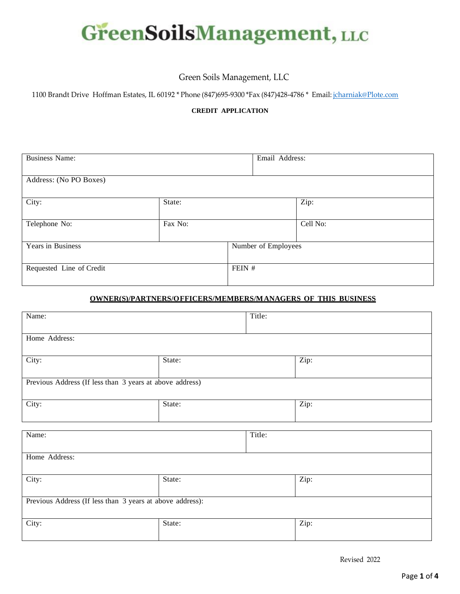

# Green Soils Management, LLC

1100 Brandt Drive Hoffman Estates, IL 60192 \* Phone (847)695-9300 \*Fax (847)428-4786 \* Email: [jcharniak@Plote.com](mailto:jcharniak@Plote.com)

### **CREDIT APPLICATION**

| <b>Business Name:</b>    |         | Email Address:      |          |
|--------------------------|---------|---------------------|----------|
| Address: (No PO Boxes)   |         |                     |          |
| City:                    | State:  |                     | Zip:     |
| Telephone No:            | Fax No: |                     | Cell No: |
| Years in Business        |         | Number of Employees |          |
| Requested Line of Credit |         | FEIN #              |          |

### **OWNER(S)/PARTNERS/OFFICERS/MEMBERS/MANAGERS OF THIS BUSINESS**

| Name:                                                     |        | Title: |      |
|-----------------------------------------------------------|--------|--------|------|
| Home Address:                                             |        |        |      |
| City:                                                     | State: |        | Zip: |
| Previous Address (If less than 3 years at above address)  |        |        |      |
| City:                                                     | State: |        | Zip: |
| Name:                                                     |        | Title: |      |
|                                                           |        |        |      |
| Home Address:                                             |        |        |      |
| City:                                                     | State: |        | Zip: |
| Previous Address (If less than 3 years at above address): |        |        |      |
| City:                                                     | State: |        | Zip: |

Revised 2022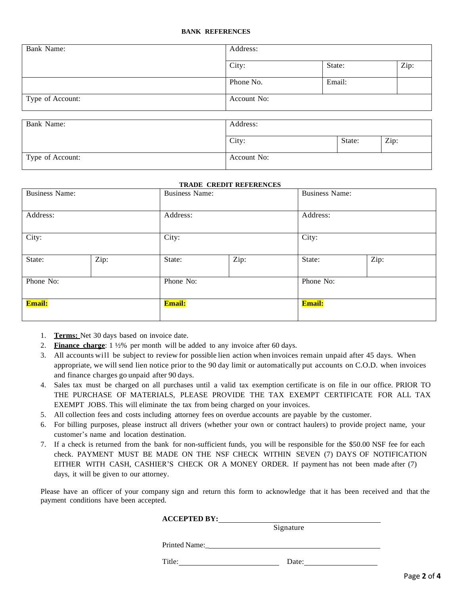#### **BANK REFERENCES**

| Bank Name:       | Address:    |        |      |
|------------------|-------------|--------|------|
|                  | City:       | State: | Zip: |
|                  | Phone No.   | Email: |      |
| Type of Account: | Account No: |        |      |
|                  |             |        |      |
| Bank Name:       | Address:    |        |      |
|                  | City:       | State: | Zip: |
| Type of Account: | Account No: |        |      |

#### **TRADE CREDIT REFERENCES**

| <b>Business Name:</b> |               | <b>Business Name:</b> |        | <b>Business Name:</b> |      |
|-----------------------|---------------|-----------------------|--------|-----------------------|------|
| Address:              |               | Address:              |        | Address:              |      |
| City:                 |               | City:                 |        | City:                 |      |
| State:                | Zip:          | State:                | Zip:   | State:                | Zip: |
| Phone No:             |               | Phone No:             |        | Phone No:             |      |
| Email:                | <b>Email:</b> |                       | Email: |                       |      |

- 1. **Terms:** Net 30 days based on invoice date.
- 2. **Finance charge**: 1 ½% per month will be added to any invoice after 60 days.
- 3. All accounts will be subject to review for possible lien action when invoices remain unpaid after 45 days. When appropriate, we will send lien notice prior to the 90 day limit or automatically put accounts on C.O.D. when invoices and finance charges go unpaid after 90 days.
- 4. Sales tax must be charged on all purchases until a valid tax exemption certificate is on file in our office. PRIOR TO THE PURCHASE OF MATERIALS, PLEASE PROVIDE THE TAX EXEMPT CERTIFICATE FOR ALL TAX EXEMPT JOBS. This will eliminate the tax from being charged on your invoices.
- 5. All collection fees and costs including attorney fees on overdue accounts are payable by the customer.
- 6. For billing purposes, please instruct all drivers (whether your own or contract haulers) to provide project name, your customer's name and location destination.
- 7. If a check is returned from the bank for non-sufficient funds, you will be responsible for the \$50.00 NSF fee for each check. PAYMENT MUST BE MADE ON THE NSF CHECK WITHIN SEVEN (7) DAYS OF NOTIFICATION EITHER WITH CASH, CASHIER'S CHECK OR A MONEY ORDER. If payment has not been made after (7) days, it will be given to our attorney.

Please have an officer of your company sign and return this form to acknowledge that it has been received and that the payment conditions have been accepted.

|               | Signature |  |
|---------------|-----------|--|
| Printed Name: |           |  |

Title: Date: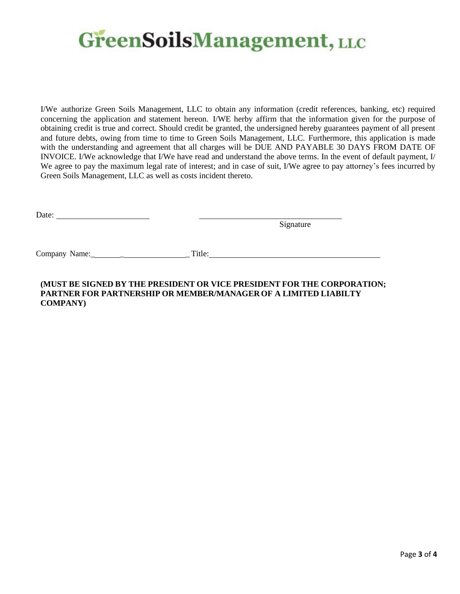# **GreenSoilsManagement, LLC**

I/We authorize Green Soils Management, LLC to obtain any information (credit references, banking, etc) required concerning the application and statement hereon. I/WE herby affirm that the information given for the purpose of obtaining credit is true and correct. Should credit be granted, the undersigned hereby guarantees payment of all present and future debts, owing from time to time to Green Soils Management, LLC. Furthermore, this application is made with the understanding and agreement that all charges will be DUE AND PAYABLE 30 DAYS FROM DATE OF INVOICE. I/We acknowledge that I/We have read and understand the above terms. In the event of default payment, I/ We agree to pay the maximum legal rate of interest; and in case of suit, I/We agree to pay attorney's fees incurred by Green Soils Management, LLC as well as costs incident thereto.

Date: the contract of the contract of the contract of the contract of the contract of the contract of the contract of the contract of the contract of the contract of the contract of the contract of the contract of the cont

Signature

Company Name:\_ \_ \_ Title:

## **(MUST BE SIGNED BY THE PRESIDENT OR VICE PRESIDENT FOR THE CORPORATION; PARTNER FOR PARTNERSHIP OR MEMBER/MANAGEROF A LIMITED LIABILTY COMPANY)**